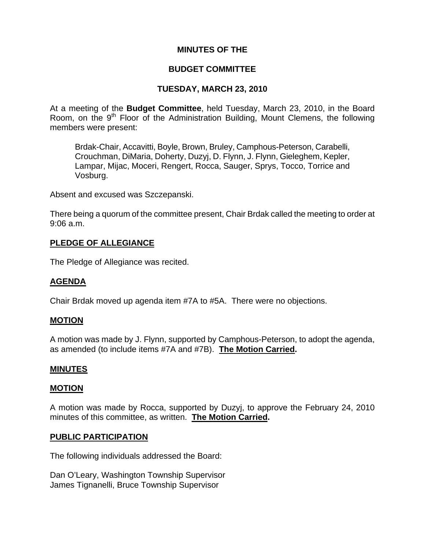## **MINUTES OF THE**

### **BUDGET COMMITTEE**

## **TUESDAY, MARCH 23, 2010**

At a meeting of the **Budget Committee**, held Tuesday, March 23, 2010, in the Board Room, on the 9<sup>th</sup> Floor of the Administration Building, Mount Clemens, the following members were present:

Brdak-Chair, Accavitti, Boyle, Brown, Bruley, Camphous-Peterson, Carabelli, Crouchman, DiMaria, Doherty, Duzyj, D. Flynn, J. Flynn, Gieleghem, Kepler, Lampar, Mijac, Moceri, Rengert, Rocca, Sauger, Sprys, Tocco, Torrice and Vosburg.

Absent and excused was Szczepanski.

There being a quorum of the committee present, Chair Brdak called the meeting to order at 9:06 a.m.

## **PLEDGE OF ALLEGIANCE**

The Pledge of Allegiance was recited.

## **AGENDA**

Chair Brdak moved up agenda item #7A to #5A. There were no objections.

#### **MOTION**

A motion was made by J. Flynn, supported by Camphous-Peterson, to adopt the agenda, as amended (to include items #7A and #7B). **The Motion Carried.** 

#### **MINUTES**

#### **MOTION**

A motion was made by Rocca, supported by Duzyj, to approve the February 24, 2010 minutes of this committee, as written. **The Motion Carried.** 

#### **PUBLIC PARTICIPATION**

The following individuals addressed the Board:

Dan O'Leary, Washington Township Supervisor James Tignanelli, Bruce Township Supervisor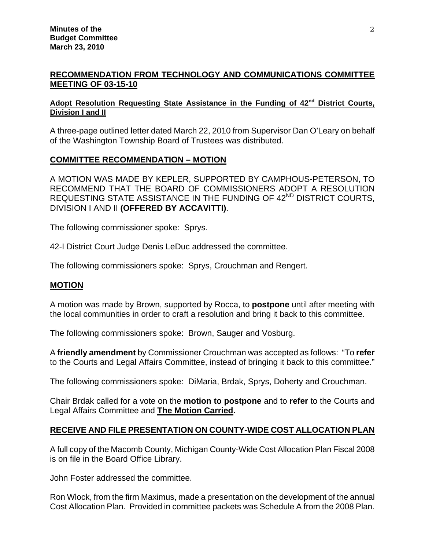## **RECOMMENDATION FROM TECHNOLOGY AND COMMUNICATIONS COMMITTEE MEETING OF 03-15-10**

#### Adopt Resolution Requesting State Assistance in the Funding of 42<sup>nd</sup> District Courts, **Division I and II**

A three-page outlined letter dated March 22, 2010 from Supervisor Dan O'Leary on behalf of the Washington Township Board of Trustees was distributed.

# **COMMITTEE RECOMMENDATION – MOTION**

A MOTION WAS MADE BY KEPLER, SUPPORTED BY CAMPHOUS-PETERSON, TO RECOMMEND THAT THE BOARD OF COMMISSIONERS ADOPT A RESOLUTION REQUESTING STATE ASSISTANCE IN THE FUNDING OF 42<sup>ND</sup> DISTRICT COURTS, DIVISION I AND II **(OFFERED BY ACCAVITTI)**.

The following commissioner spoke: Sprys.

42-I District Court Judge Denis LeDuc addressed the committee.

The following commissioners spoke: Sprys, Crouchman and Rengert.

## **MOTION**

A motion was made by Brown, supported by Rocca, to **postpone** until after meeting with the local communities in order to craft a resolution and bring it back to this committee.

The following commissioners spoke: Brown, Sauger and Vosburg.

A **friendly amendment** by Commissioner Crouchman was accepted as follows:"To **refer**  to the Courts and Legal Affairs Committee, instead of bringing it back to this committee."

The following commissioners spoke: DiMaria, Brdak, Sprys, Doherty and Crouchman.

Chair Brdak called for a vote on the **motion to postpone** and to **refer** to the Courts and Legal Affairs Committee and **The Motion Carried.** 

## **RECEIVE AND FILE PRESENTATION ON COUNTY-WIDE COST ALLOCATION PLAN**

A full copy of the Macomb County, Michigan County-Wide Cost Allocation Plan Fiscal 2008 is on file in the Board Office Library.

John Foster addressed the committee.

Ron Wlock, from the firm Maximus, made a presentation on the development of the annual Cost Allocation Plan. Provided in committee packets was Schedule A from the 2008 Plan.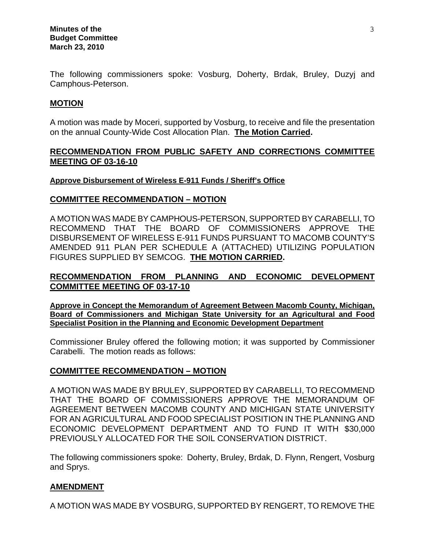The following commissioners spoke: Vosburg, Doherty, Brdak, Bruley, Duzyj and Camphous-Peterson.

#### **MOTION**

A motion was made by Moceri, supported by Vosburg, to receive and file the presentation on the annual County-Wide Cost Allocation Plan. **The Motion Carried.** 

### **RECOMMENDATION FROM PUBLIC SAFETY AND CORRECTIONS COMMITTEE MEETING OF 03-16-10**

#### **Approve Disbursement of Wireless E-911 Funds / Sheriff's Office**

#### **COMMITTEE RECOMMENDATION – MOTION**

A MOTION WAS MADE BY CAMPHOUS-PETERSON, SUPPORTED BY CARABELLI, TO RECOMMEND THAT THE BOARD OF COMMISSIONERS APPROVE THE DISBURSEMENT OF WIRELESS E-911 FUNDS PURSUANT TO MACOMB COUNTY'S AMENDED 911 PLAN PER SCHEDULE A (ATTACHED) UTILIZING POPULATION FIGURES SUPPLIED BY SEMCOG. **THE MOTION CARRIED.**

## **RECOMMENDATION FROM PLANNING AND ECONOMIC DEVELOPMENT COMMITTEE MEETING OF 03-17-10**

**Approve in Concept the Memorandum of Agreement Between Macomb County, Michigan, Board of Commissioners and Michigan State University for an Agricultural and Food Specialist Position in the Planning and Economic Development Department**

Commissioner Bruley offered the following motion; it was supported by Commissioner Carabelli. The motion reads as follows:

#### **COMMITTEE RECOMMENDATION – MOTION**

A MOTION WAS MADE BY BRULEY, SUPPORTED BY CARABELLI, TO RECOMMEND THAT THE BOARD OF COMMISSIONERS APPROVE THE MEMORANDUM OF AGREEMENT BETWEEN MACOMB COUNTY AND MICHIGAN STATE UNIVERSITY FOR AN AGRICULTURAL AND FOOD SPECIALIST POSITION IN THE PLANNING AND ECONOMIC DEVELOPMENT DEPARTMENT AND TO FUND IT WITH \$30,000 PREVIOUSLY ALLOCATED FOR THE SOIL CONSERVATION DISTRICT.

The following commissioners spoke: Doherty, Bruley, Brdak, D. Flynn, Rengert, Vosburg and Sprys.

## **AMENDMENT**

A MOTION WAS MADE BY VOSBURG, SUPPORTED BY RENGERT, TO REMOVE THE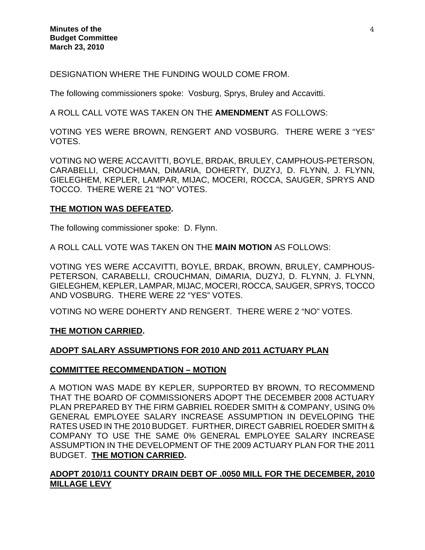DESIGNATION WHERE THE FUNDING WOULD COME FROM.

The following commissioners spoke: Vosburg, Sprys, Bruley and Accavitti.

A ROLL CALL VOTE WAS TAKEN ON THE **AMENDMENT** AS FOLLOWS:

VOTING YES WERE BROWN, RENGERT AND VOSBURG. THERE WERE 3 "YES" VOTES.

VOTING NO WERE ACCAVITTI, BOYLE, BRDAK, BRULEY, CAMPHOUS-PETERSON, CARABELLI, CROUCHMAN, DiMARIA, DOHERTY, DUZYJ, D. FLYNN, J. FLYNN, GIELEGHEM, KEPLER, LAMPAR, MIJAC, MOCERI, ROCCA, SAUGER, SPRYS AND TOCCO. THERE WERE 21 "NO" VOTES.

#### **THE MOTION WAS DEFEATED.**

The following commissioner spoke: D. Flynn.

A ROLL CALL VOTE WAS TAKEN ON THE **MAIN MOTION** AS FOLLOWS:

VOTING YES WERE ACCAVITTI, BOYLE, BRDAK, BROWN, BRULEY, CAMPHOUS-PETERSON, CARABELLI, CROUCHMAN, DiMARIA, DUZYJ, D. FLYNN, J. FLYNN, GIELEGHEM, KEPLER, LAMPAR, MIJAC, MOCERI, ROCCA, SAUGER, SPRYS, TOCCO AND VOSBURG. THERE WERE 22 "YES" VOTES.

VOTING NO WERE DOHERTY AND RENGERT. THERE WERE 2 "NO" VOTES.

#### **THE MOTION CARRIED.**

#### **ADOPT SALARY ASSUMPTIONS FOR 2010 AND 2011 ACTUARY PLAN**

#### **COMMITTEE RECOMMENDATION – MOTION**

A MOTION WAS MADE BY KEPLER, SUPPORTED BY BROWN, TO RECOMMEND THAT THE BOARD OF COMMISSIONERS ADOPT THE DECEMBER 2008 ACTUARY PLAN PREPARED BY THE FIRM GABRIEL ROEDER SMITH & COMPANY, USING 0% GENERAL EMPLOYEE SALARY INCREASE ASSUMPTION IN DEVELOPING THE RATES USED IN THE 2010 BUDGET. FURTHER, DIRECT GABRIEL ROEDER SMITH & COMPANY TO USE THE SAME 0% GENERAL EMPLOYEE SALARY INCREASE ASSUMPTION IN THE DEVELOPMENT OF THE 2009 ACTUARY PLAN FOR THE 2011 BUDGET. **THE MOTION CARRIED.** 

#### **ADOPT 2010/11 COUNTY DRAIN DEBT OF .0050 MILL FOR THE DECEMBER, 2010 MILLAGE LEVY**